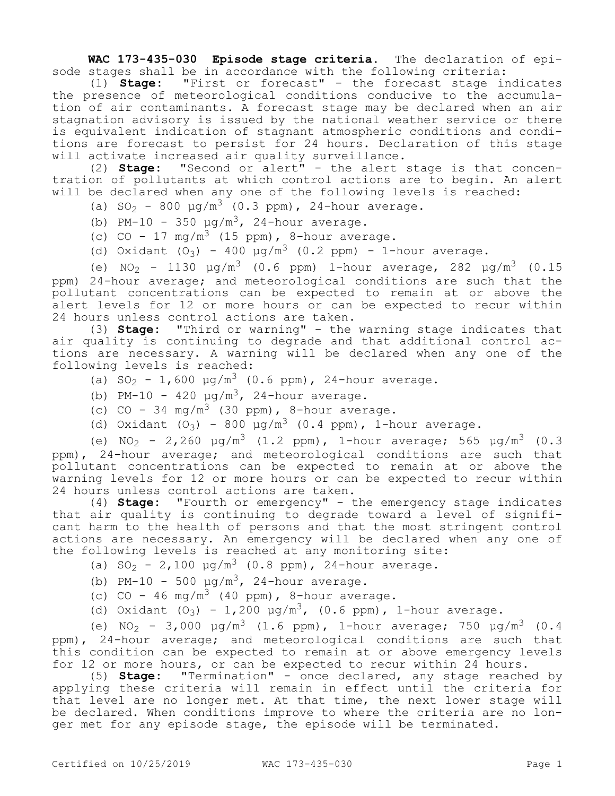**WAC 173-435-030 Episode stage criteria.** The declaration of episode stages shall be in accordance with the following criteria:

(1) **Stage:** "First or forecast" - the forecast stage indicates the presence of meteorological conditions conducive to the accumulation of air contaminants. A forecast stage may be declared when an air stagnation advisory is issued by the national weather service or there is equivalent indication of stagnant atmospheric conditions and conditions are forecast to persist for 24 hours. Declaration of this stage will activate increased air quality surveillance.

(2) **Stage:** "Second or alert" - the alert stage is that concentration of pollutants at which control actions are to begin. An alert will be declared when any one of the following levels is reached:

(a) SO<sub>2</sub> - 800  $\mu q/m^3$  (0.3 ppm), 24-hour average.

(b) PM-10 - 350  $\mu$ g/m<sup>3</sup>, 24-hour average.

(c) CO - 17  $mg/m^3$  (15 ppm), 8-hour average.

(d) Oxidant  $(O_3) - 400 \mu g/m^3$  (0.2 ppm) - 1-hour average.

(e) NO<sub>2</sub> - 1130  $\mu q/m^3$  (0.6 ppm) 1-hour average, 282  $\mu q/m^3$  (0.15 ppm) 24-hour average; and meteorological conditions are such that the pollutant concentrations can be expected to remain at or above the alert levels for 12 or more hours or can be expected to recur within 24 hours unless control actions are taken.

(3) **Stage:** "Third or warning" - the warning stage indicates that air quality is continuing to degrade and that additional control actions are necessary. A warning will be declared when any one of the following levels is reached:

- (a)  $SO_2 1,600 \mu g/m^3$  (0.6 ppm), 24-hour average.
- (b) PM-10 420  $\mu$ g/m<sup>3</sup>, 24-hour average.
- (c) CO 34 mg/m<sup>3</sup> (30 ppm), 8-hour average.
- (d) Oxidant  $(O_3)$  800  $\mu g/m^3$  (0.4 ppm), 1-hour average.

(e)  $NO_2$  - 2,260  $\mu g/m^3$  (1.2 ppm), 1-hour average; 565  $\mu g/m^3$  (0.3 ppm), 24-hour average; and meteorological conditions are such that pollutant concentrations can be expected to remain at or above the warning levels for 12 or more hours or can be expected to recur within 24 hours unless control actions are taken.

(4) **Stage:** "Fourth or emergency" - the emergency stage indicates that air quality is continuing to degrade toward a level of significant harm to the health of persons and that the most stringent control actions are necessary. An emergency will be declared when any one of the following levels is reached at any monitoring site:

(a)  $SO_2 - 2,100 \mu g/m^3$  (0.8 ppm), 24-hour average.

- (b) PM-10 500  $\mu q/m^3$ , 24-hour average.
- (c) CO 46 mg/m<sup>3</sup> (40 ppm), 8-hour average.

(d) Oxidant  $(O_3) - 1,200 \mu g/m^3$ , (0.6 ppm), 1-hour average.

(e) NO<sub>2</sub> - 3,000  $\mu q/m^3$  (1.6 ppm), 1-hour average; 750  $\mu q/m^3$  (0.4 ppm), 24-hour average; and meteorological conditions are such that this condition can be expected to remain at or above emergency levels for 12 or more hours, or can be expected to recur within 24 hours.

(5) **Stage:** "Termination" - once declared, any stage reached by applying these criteria will remain in effect until the criteria for that level are no longer met. At that time, the next lower stage will be declared. When conditions improve to where the criteria are no longer met for any episode stage, the episode will be terminated.